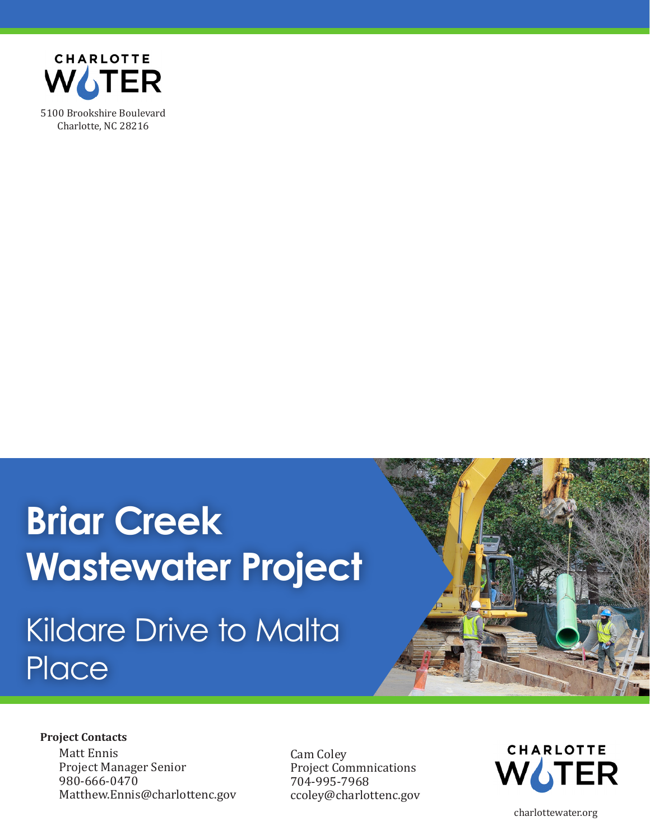

# **Briar Creek Wastewater Project**  Kildare Drive to Malta **Place**



#### **Project Contacts**

Matt Ennis Project Manager Senior 980-666-0470 Matthew.Ennis@charlottenc.gov Cam Coley Project Commnications 704-995-7968 ccoley@charlottenc.gov



charlottewater.org